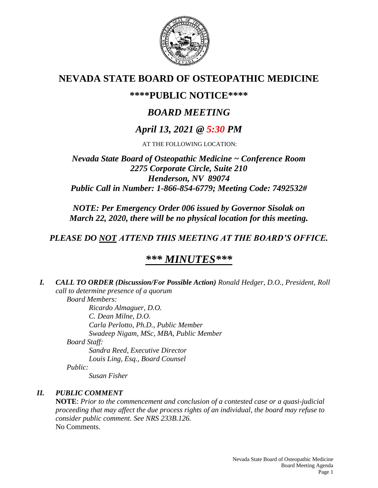

# **NEVADA STATE BOARD OF OSTEOPATHIC MEDICINE**

# **\*\*\*\*PUBLIC NOTICE\*\*\*\***

# *BOARD MEETING*

# *April 13, 2021 @ 5:30 PM*

AT THE FOLLOWING LOCATION:

## *Nevada State Board of Osteopathic Medicine ~ Conference Room 2275 Corporate Circle, Suite 210 Henderson, NV 89074 Public Call in Number: 1-866-854-6779; Meeting Code: 7492532#*

*NOTE: Per Emergency Order 006 issued by Governor Sisolak on March 22, 2020, there will be no physical location for this meeting.*

# *PLEASE DO NOT ATTEND THIS MEETING AT THE BOARD'S OFFICE.*

# *\*\*\* MINUTES\*\*\**

*I. CALL TO ORDER (Discussion/For Possible Action) Ronald Hedger, D.O., President, Roll call to determine presence of a quorum Board Members:*

*Ricardo Almaguer, D.O. C. Dean Milne, D.O. Carla Perlotto, Ph.D., Public Member Swadeep Nigam, MSc, MBA, Public Member Board Staff: Sandra Reed, Executive Director Louis Ling, Esq., Board Counsel Public:*

*Susan Fisher*

## *II. PUBLIC COMMENT*

**NOTE**: *Prior to the commencement and conclusion of a contested case or a quasi-judicial proceeding that may affect the due process rights of an individual, the board may refuse to consider public comment. See NRS 233B.126.* No Comments.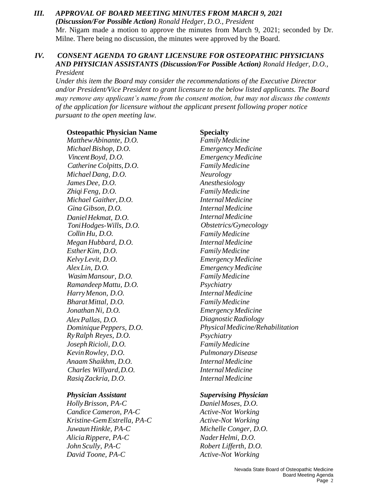*III. APPROVAL OF BOARD MEETING MINUTES FROM MARCH 9, 2021 (Discussion/For Possible Action) Ronald Hedger, D.O., President* Mr. Nigam made a motion to approve the minutes from March 9, 2021; seconded by Dr. Milne. There being no discussion, the minutes were approved by the Board.

### *IV. CONSENT AGENDA TO GRANT LICENSURE FOR OSTEOPATHIC PHYSICIANS AND PHYSICIAN ASSISTANTS (Discussion/For Possible Action) Ronald Hedger, D.O., President*

*Under this item the Board may consider the recommendations of the Executive Director and/or President/Vice President to grant licensure to the below listed applicants. The Board may remove any applicant's name from the consent motion, but may not discuss the contents of the application for licensure without the applicant present following proper notice pursuant to the open meeting law.*

#### **Osteopathic Physician Name Specialty**

*MatthewAbinante, D.O. FamilyMedicine MichaelBishop, D.O. EmergencyMedicine VincentBoyd, D.O. EmergencyMedicine Catherine Colpitts,D.O. FamilyMedicine MichaelDang, D.O. Neurology JamesDee, D.O. Anesthesiology Zhiqi Feng, D.O. FamilyMedicine Michael Gaither, D.O. InternalMedicine Gina Gibson, D.O. InternalMedicine DanielHekmat, D.O. ToniHodges-Wills, D.O. Collin Hu, D.O. MeganHubbard, D.O. InternalMedicine EstherKim, D.O. FamilyMedicine KelvyLevit, D.O. EmergencyMedicine AlexLin, D.O. EmergencyMedicine WasimMansour, D.O. FamilyMedicine RamandeepMattu, D.O. Psychiatry HarryMenon, D.O. InternalMedicine BharatMittal, D.O. FamilyMedicine JonathanNi, D.O. EmergencyMedicine AlexPallas, D.O. DominiquePeppers, D.O. RyRalph Reyes, D.O. JosephRicioli, D.O. FamilyMedicine KevinRowley, D.O. PulmonaryDisease Anaam Shaikhm, D.O. InternalMedicine Charles Willyard,D.O. InternalMedicine RasiqZackria, D.O. InternalMedicine*

*HollyBrisson, PA-C DanielMoses, D.O. Candice Cameron, PA-C Active-Not Working Kristine-GemEstrella, PA-C Active-Not Working JuwaunHinkle, PA-C Michelle Conger, D.O. AliciaRippere, PA-C NaderHelmi, D.O. John Scully, PA-C Robert Lifferth, D.O. David Toone, PA-C Active-Not Working*

*InternalMedicine Obstetrics/Gynecology FamilyMedicine DiagnosticRadiology PhysicalMedicine/Rehabilitation Psychiatry*

#### *Physician Assistant Supervising Physician*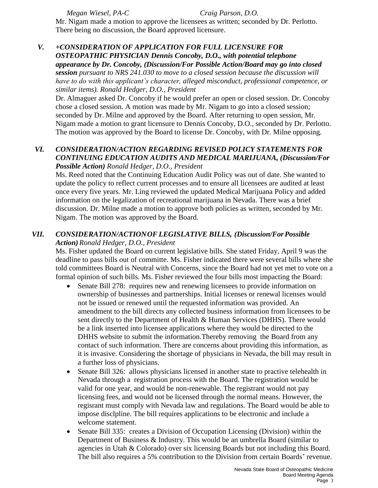*Megan Wiesel, PA-C Craig Parson, D.O.*

Mr. Nigam made a motion to approve the licensees as written; seconded by Dr. Perlotto. There being no discussion, the Board approved licensure.

## *V. +CONSIDERATION OF APPLICATION FOR FULL LICENSURE FOR OSTEOPATHIC PHYSICIAN Dennis Concoby, D.O., with potential telephone appearance by Dr. Concoby, (Discussion/For Possible Action/Board may go into closed*

*session pursuant to NRS 241.030 to move to a closed session because the discussion will have to do with this applicant's character, alleged misconduct, professional competence, or similar items). Ronald Hedger, D.O., President*

Dr. Almaguer asked Dr. Concoby if he would prefer an open or closed session. Dr. Concoby chose a closed session. A motion was made by Mr. Nigam to go into a closed session; seconded by Dr. Milne and approved by the Board. After returning to open session, Mr. Nigam made a motion to grant licensure to Dennis Concoby, D.O., seconded by Dr. Perlotto. The motion was approved by the Board to license Dr. Concoby, with Dr. Milne opposing.

## *VI. CONSIDERATION/ACTION REGARDING REVISED POLICY STATEMENTS FOR CONTINUING EDUCATION AUDITS AND MEDICAL MARIJUANA, (Discussion/For Possible Action) Ronald Hedger, D.O., President*

Ms. Reed noted that the Continuing Education Audit Policy was out of date. She wanted to update the policy to reflect current processes and to ensure all licensees are audited at least once every five years. Mr. Ling reviewed the updated Medical Marijuana Policy and added information on the legalization of recreational marijuana in Nevada. There was a brief discussion. Dr. Milne made a motion to approve both policies as written, seconded by Mr. Nigam. The motion was approved by the Board.

## *VII. CONSIDERATION/ACTIONOF LEGISLATIVE BILLS, (Discussion/ForPossible Action)Ronald Hedger, D.O., President*

Ms. Fisher updated the Board on current legislative bills. She stated Friday, April 9 was the deadline to pass bills out of committe. Ms. Fisher indicated there were several bills where she told committees Board is Neutral with Concerns, since the Board had not yet met to vote on a formal opinion of such bills. Ms. Fisher reviewed the four bills most impacting the Board:

- Senate Bill 278: requires new and renewing licensees to provide information on ownership of businesses and partnerships. Initial licenses or renewal licenses would not be issued or renewed until the requested information was provided. An amendment to the bill directs any collected business information from licensees to be sent directly to the Department of Health & Human Services (DHHS). There would be a link inserted into licensee applications where they would be directed to the DHHS website to submit the information.Thereby removing the Board from any contact of such information. There are concerns about providing this information, as it is invasive. Considering the shortage of physicians in Nevada, the bill may result in a further loss of physicians.
- Senate Bill 326: allows physicians licensed in another state to practive telehealth in Nevada through a registration process with the Board. The registration would be valid for one year, and would be non-renewable. The registrant would not pay licensing fees, and would not be licensed through the normal means. However, the regisrant must comply with Nevada law and regulations. The Board would be able to impose disclpline. The bill requires applications to be electronic and include a welcome statement.
- Senate Bill 335: creates a Division of Occupation Licensing (Division) within the Department of Business & Industry. This would be an umbrella Board (similar to agencies in Utah & Colorado) over six licensing Boards but not including this Board. The bill also requires a 5% contribution to the Division from certain Boards' revenue.